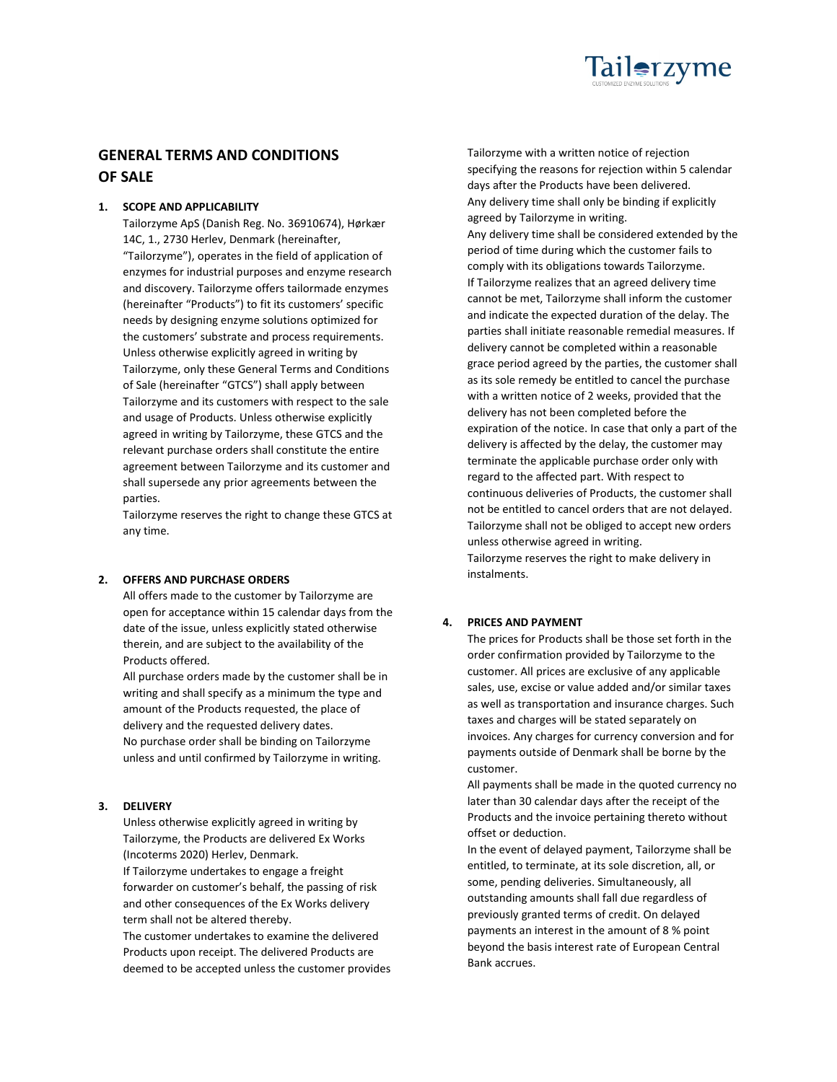

# **GENERAL TERMS AND CONDITIONS OF SALE**

# **1. SCOPE AND APPLICABILITY**

Tailorzyme ApS (Danish Reg. No. 36910674), Hørkær 14C, 1., 2730 Herlev, Denmark (hereinafter, "Tailorzyme"), operates in the field of application of enzymes for industrial purposes and enzyme research and discovery. Tailorzyme offers tailormade enzymes (hereinafter "Products") to fit its customers' specific needs by designing enzyme solutions optimized for the customers' substrate and process requirements. Unless otherwise explicitly agreed in writing by Tailorzyme, only these General Terms and Conditions of Sale (hereinafter "GTCS") shall apply between Tailorzyme and its customers with respect to the sale and usage of Products. Unless otherwise explicitly agreed in writing by Tailorzyme, these GTCS and the relevant purchase orders shall constitute the entire agreement between Tailorzyme and its customer and shall supersede any prior agreements between the parties.

Tailorzyme reserves the right to change these GTCS at any time.

#### **2. OFFERS AND PURCHASE ORDERS**

All offers made to the customer by Tailorzyme are open for acceptance within 15 calendar days from the date of the issue, unless explicitly stated otherwise therein, and are subject to the availability of the Products offered.

All purchase orders made by the customer shall be in writing and shall specify as a minimum the type and amount of the Products requested, the place of delivery and the requested delivery dates. No purchase order shall be binding on Tailorzyme unless and until confirmed by Tailorzyme in writing.

### **3. DELIVERY**

Unless otherwise explicitly agreed in writing by Tailorzyme, the Products are delivered Ex Works (Incoterms 2020) Herlev, Denmark. If Tailorzyme undertakes to engage a freight forwarder on customer's behalf, the passing of risk and other consequences of the Ex Works delivery term shall not be altered thereby. The customer undertakes to examine the delivered Products upon receipt. The delivered Products are

deemed to be accepted unless the customer provides

Tailorzyme with a written notice of rejection specifying the reasons for rejection within 5 calendar days after the Products have been delivered. Any delivery time shall only be binding if explicitly agreed by Tailorzyme in writing. Any delivery time shall be considered extended by the period of time during which the customer fails to comply with its obligations towards Tailorzyme. If Tailorzyme realizes that an agreed delivery time cannot be met, Tailorzyme shall inform the customer and indicate the expected duration of the delay. The parties shall initiate reasonable remedial measures. If delivery cannot be completed within a reasonable grace period agreed by the parties, the customer shall as its sole remedy be entitled to cancel the purchase with a written notice of 2 weeks, provided that the delivery has not been completed before the expiration of the notice. In case that only a part of the delivery is affected by the delay, the customer may terminate the applicable purchase order only with regard to the affected part. With respect to continuous deliveries of Products, the customer shall not be entitled to cancel orders that are not delayed. Tailorzyme shall not be obliged to accept new orders unless otherwise agreed in writing. Tailorzyme reserves the right to make delivery in instalments.

# **4. PRICES AND PAYMENT**

The prices for Products shall be those set forth in the order confirmation provided by Tailorzyme to the customer. All prices are exclusive of any applicable sales, use, excise or value added and/or similar taxes as well as transportation and insurance charges. Such taxes and charges will be stated separately on invoices. Any charges for currency conversion and for payments outside of Denmark shall be borne by the customer.

All payments shall be made in the quoted currency no later than 30 calendar days after the receipt of the Products and the invoice pertaining thereto without offset or deduction.

In the event of delayed payment, Tailorzyme shall be entitled, to terminate, at its sole discretion, all, or some, pending deliveries. Simultaneously, all outstanding amounts shall fall due regardless of previously granted terms of credit. On delayed payments an interest in the amount of 8 % point beyond the basis interest rate of European Central Bank accrues.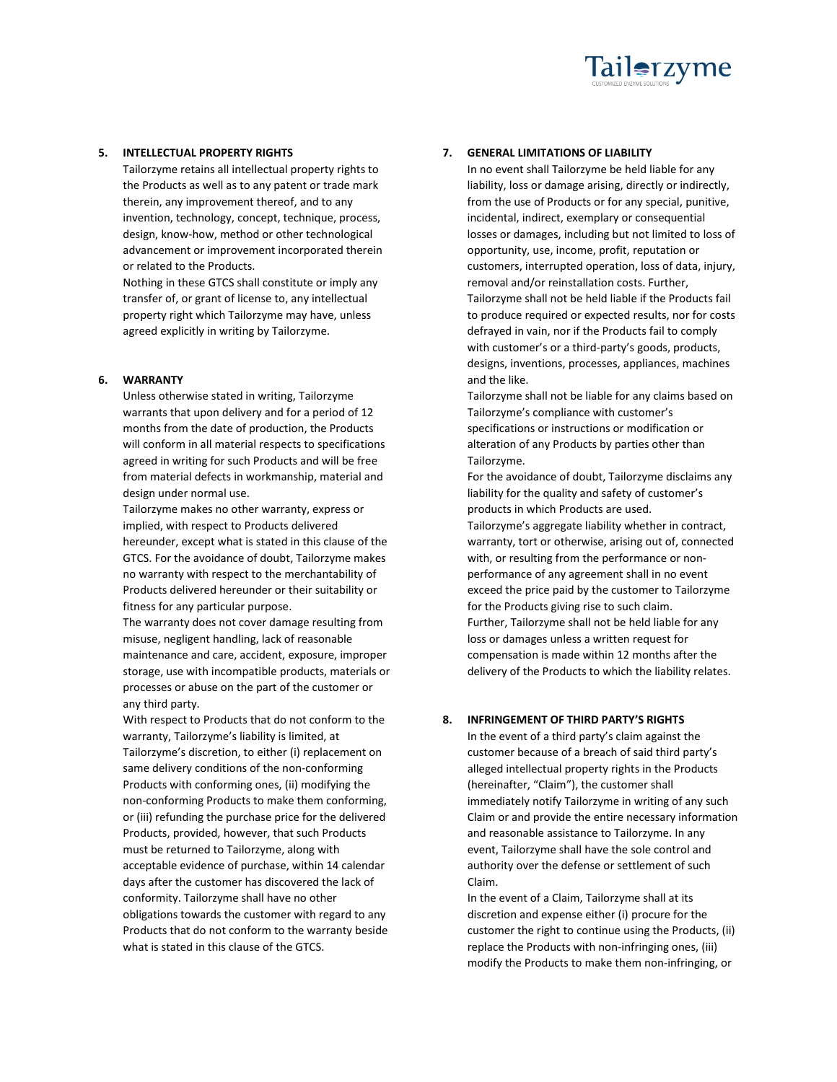

### **5. INTELLECTUAL PROPERTY RIGHTS**

Tailorzyme retains all intellectual property rights to the Products as well as to any patent or trade mark therein, any improvement thereof, and to any invention, technology, concept, technique, process, design, know-how, method or other technological advancement or improvement incorporated therein or related to the Products.

Nothing in these GTCS shall constitute or imply any transfer of, or grant of license to, any intellectual property right which Tailorzyme may have, unless agreed explicitly in writing by Tailorzyme.

### **6. WARRANTY**

Unless otherwise stated in writing, Tailorzyme warrants that upon delivery and for a period of 12 months from the date of production, the Products will conform in all material respects to specifications agreed in writing for such Products and will be free from material defects in workmanship, material and design under normal use.

Tailorzyme makes no other warranty, express or implied, with respect to Products delivered hereunder, except what is stated in this clause of the GTCS. For the avoidance of doubt, Tailorzyme makes no warranty with respect to the merchantability of Products delivered hereunder or their suitability or fitness for any particular purpose.

The warranty does not cover damage resulting from misuse, negligent handling, lack of reasonable maintenance and care, accident, exposure, improper storage, use with incompatible products, materials or processes or abuse on the part of the customer or any third party.

With respect to Products that do not conform to the warranty, Tailorzyme's liability is limited, at Tailorzyme's discretion, to either (i) replacement on same delivery conditions of the non-conforming Products with conforming ones, (ii) modifying the non-conforming Products to make them conforming, or (iii) refunding the purchase price for the delivered Products, provided, however, that such Products must be returned to Tailorzyme, along with acceptable evidence of purchase, within 14 calendar days after the customer has discovered the lack of conformity. Tailorzyme shall have no other obligations towards the customer with regard to any Products that do not conform to the warranty beside what is stated in this clause of the GTCS.

# **7. GENERAL LIMITATIONS OF LIABILITY**

In no event shall Tailorzyme be held liable for any liability, loss or damage arising, directly or indirectly, from the use of Products or for any special, punitive, incidental, indirect, exemplary or consequential losses or damages, including but not limited to loss of opportunity, use, income, profit, reputation or customers, interrupted operation, loss of data, injury, removal and/or reinstallation costs. Further, Tailorzyme shall not be held liable if the Products fail to produce required or expected results, nor for costs defrayed in vain, nor if the Products fail to comply with customer's or a third-party's goods, products, designs, inventions, processes, appliances, machines and the like.

Tailorzyme shall not be liable for any claims based on Tailorzyme's compliance with customer's specifications or instructions or modification or alteration of any Products by parties other than Tailorzyme.

For the avoidance of doubt, Tailorzyme disclaims any liability for the quality and safety of customer's products in which Products are used.

Tailorzyme's aggregate liability whether in contract, warranty, tort or otherwise, arising out of, connected with, or resulting from the performance or nonperformance of any agreement shall in no event exceed the price paid by the customer to Tailorzyme for the Products giving rise to such claim. Further, Tailorzyme shall not be held liable for any loss or damages unless a written request for compensation is made within 12 months after the delivery of the Products to which the liability relates.

# **8. INFRINGEMENT OF THIRD PARTY'S RIGHTS**

In the event of a third party's claim against the customer because of a breach of said third party's alleged intellectual property rights in the Products (hereinafter, "Claim"), the customer shall immediately notify Tailorzyme in writing of any such Claim or and provide the entire necessary information and reasonable assistance to Tailorzyme. In any event, Tailorzyme shall have the sole control and authority over the defense or settlement of such Claim.

In the event of a Claim, Tailorzyme shall at its discretion and expense either (i) procure for the customer the right to continue using the Products, (ii) replace the Products with non-infringing ones, (iii) modify the Products to make them non-infringing, or